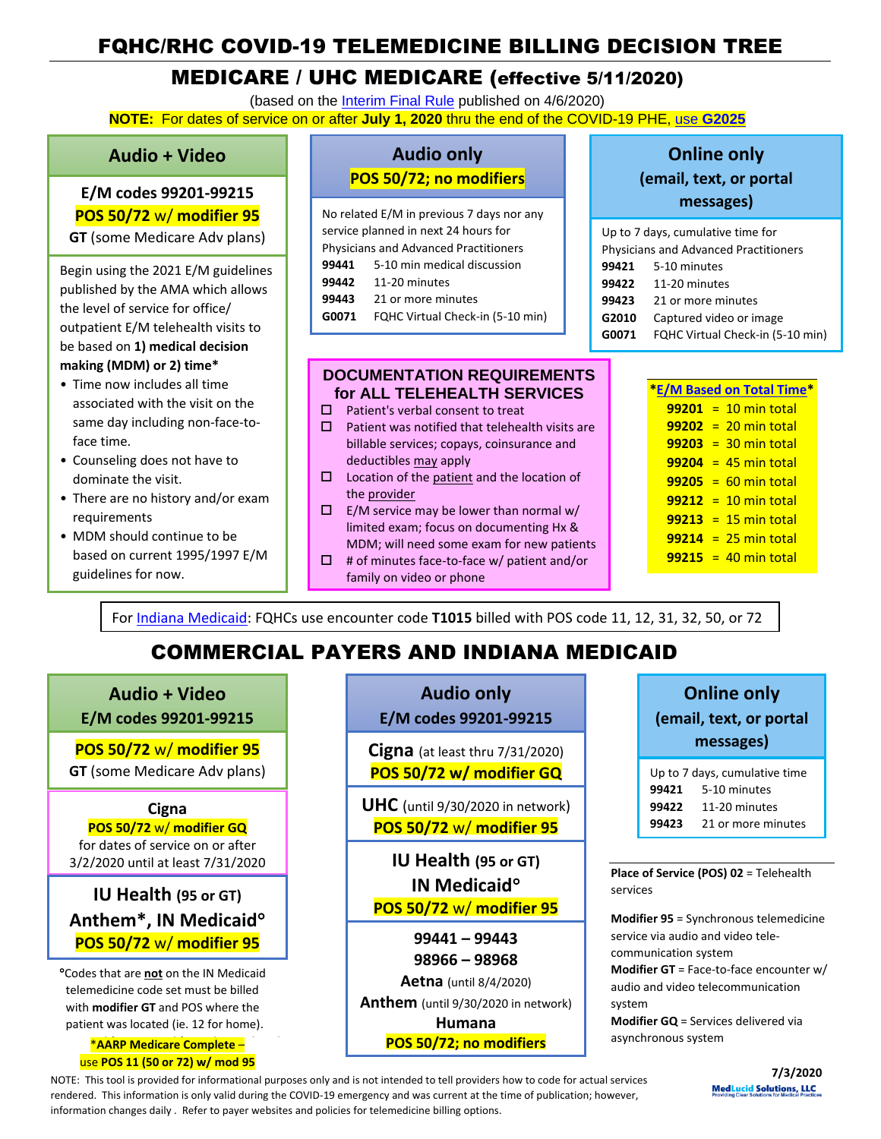# FQHC/RHC COVID-19 TELEMEDICINE BILLING DECISION TREE

## MEDICARE / UHC MEDICARE (effective 5/11/2020)

(based on the [Interim Final Rule](https://www.federalregister.gov/documents/2020/04/06/2020-06990/medicare-and-medicaid-programs-policy-and-regulatory-revisions-in-response-to-the-covid-19-public) published on 4/6/2020) **NOTE:** For dates of service on or after **July 1, 2020** thru the end of the COVID-19 PHE, use **[G2025](https://www.cms.gov/files/document/se20016.pdf)**

### **Audio + Video**

L **E/M codes 99201-99215 POS 50/72** w/ **modifier 95 GT** (some Medicare Adv plans)

Begin using the 2021 E/M guidelines published by the AMA which allows the level of service for office/ outpatient E/M telehealth visits to

be based on **1) medical decision making (MDM) or 2) time\***

- Time now includes all time associated with the visit on the same day including non-face-toface time.
- Counseling does not have to dominate the visit.
- There are no history and/or exam requirements
- MDM should continue to be based on current 1995/1997 E/M guidelines for now.

## **Audio only POS 50/72; no modifiers**

No related E/M in previous 7 days nor any service planned in next 24 hours for Physicians and Advanced Practitioners **99441** 5-10 min medical discussion **99442** 11-20 minutes **99443** 21 or more minutes **G0071** FQHC Virtual Check-in (5-10 min)

### **DOCUMENTATION REQUIREMENTS for ALL TELEHEALTH SERVICES**

- $\Box$  Patient's verbal consent to treat
- $\square$  Patient was notified that telehealth visits are billable services; copays, coinsurance and deductibles may apply
- $\square$  Location of the patient and the location of the provider
- $\Box$  E/M service may be lower than normal w/ limited exam; focus on documenting Hx & MDM; will need some exam for new patients
- $\Box$  # of minutes face-to-face w/ patient and/or family on video or phone

## **Online only (email, text, or portal messages)**

|                                              | Up to 7 days, cumulative time for |  |
|----------------------------------------------|-----------------------------------|--|
| <b>Physicians and Advanced Practitioners</b> |                                   |  |
|                                              | <b>99421</b> 5-10 minutes         |  |
| 99422                                        | 11-20 minutes                     |  |
| 99423                                        | 21 or more minutes                |  |
| G2010                                        | Captured video or image           |  |
| G0071                                        | FQHC Virtual Check-in (5-10 min)  |  |

| <b>E/M Based on Total Time</b> |
|--------------------------------|
| $99201 = 10$ min total         |
| $99202 = 20$ min total         |
| $99203 = 30$ min total         |
| $99204 = 45$ min total         |
| $99205 = 60$ min total         |
| $99212 = 10$ min total         |
| $99213 = 15$ min total         |
| $99214 = 25$ min total         |
| $99215 = 40$ min total         |
|                                |

For [Indiana Medicaid:](https://www.in.gov/medicaid/files/telemedicine%20and%20telehealth%20services.pdf) FQHCs use encounter code **T1015** billed with POS code 11, 12, 31, 32, 50, or 72

# COMMERCIAL PAYERS AND INDIANA MEDICAID

**Audio + Video E/M codes 99201-99215**

**POS 50/72** w/ **modifier 95 GT** (some Medicare Adv plans)

### **Cigna**

**POS 50/72** w/ **modifier GQ** for dates of service on or after 3/2/2020 until at least 7/31/2020

## **IU Health (95 or GT) Anthem\*, IN Medicaid POS 50/72** w/ **modifier 95**

**P**Codes that are **not** on the IN Medicaid [telemedicine code set](http://provider.indianamedicaid.com/ihcp/Publications/providerCodes/Telemedicine_Services_Codes.pdf) must be billed with **modifier GT** and POS where the patient was located (ie. 12 for home).

**\*AARP Medicare Complete –** use **POS 11 (50 or 72) w/ mod 95**

## **Audio only E/M codes 99201-99215**

**Cigna** (at least thru 7/31/2020) **POS 50/72 w/ modifier GQ**

**UHC** (until 9/30/2020 in network) **POS 50/72** w/ **modifier 95**

**IU Health (95 or GT) IN Medicaid POS 50/72** w/ **modifier 95**

**99441 – 99443 98966 – 98968 Aetna** (until 8/4/2020) **Anthem** (until 9/30/2020 in network) **Humana**

**POS 50/72; no modifiers**

# **Online only (email, text, or portal messages)**

Up to 7 days, cumulative time 5-10 minutes 11-20 minutes 21 or more minutes

**Place of Service (POS) 02** = Telehealth services

**Modifier 95** = Synchronous telemedicine service via audio and video telecommunication system **Modifier GT** = Face-to-face encounter w/ audio and video telecommunication system **Modifier GQ** = Services delivered via

asynchronous system

NOTE: This tool is provided for informational purposes only and is not intended to tell providers how to code for actual services rendered. This information is only valid during the COVID-19 emergency and was current at the time of publication; however, information changes daily . Refer to payer websites and policies for telemedicine billing options.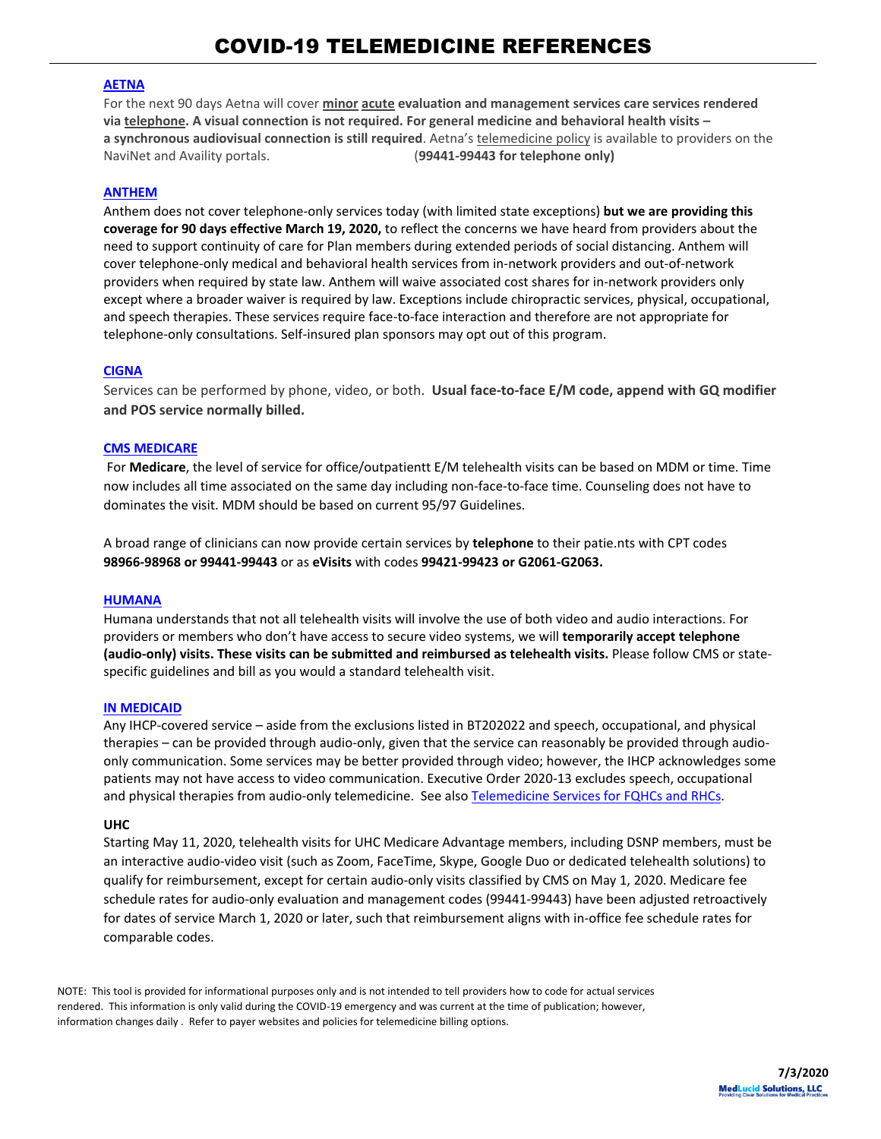#### **[AETNA](https://www.aetna.com/health-care-professionals/provider-education-manuals/covid-faq.html#acc_link_content_section_responsivegrid_copy__responsivegrid_accordion_12)**

For the next 90 days Aetna will cover **minor acute evaluation and management services care services rendered via telephone. A visual connection is not required. For general medicine and behavioral health visits – a synchronous audiovisual connection is still required**. Aetna's telemedicine policy is available to providers on the NaviNet and Availity portals. (**99441-99443 for telephone only)**

#### **[ANTHEM](https://providernews.anthem.com/georgia/article/information-from-anthem-for-care-providers-about-covid-19-4)**

Anthem does not cover telephone-only services today (with limited state exceptions) **but we are providing this coverage for 90 days effective March 19, 2020,** to reflect the concerns we have heard from providers about the need to support continuity of care for Plan members during extended periods of social distancing. Anthem will cover telephone-only medical and behavioral health services from in-network providers and out-of-network providers when required by state law. Anthem will waive associated cost shares for in-network providers only except where a broader waiver is required by law. Exceptions include chiropractic services, physical, occupational, and speech therapies. These services require face-to-face interaction and therefore are not appropriate for telephone-only consultations. Self-insured plan sponsors may opt out of this program.

#### **[CIGNA](https://static.cigna.com/assets/chcp/resourceLibrary/medicalResourcesList/medicalDoingBusinessWithCigna/medicalDbwcCOVID-19.html)**

Services can be performed by phone, video, or both. **Usual face-to-face E/M code, append with GQ modifier and POS service normally billed.**

#### **[CMS MEDICARE](https://www.cms.gov/files/document/covid-19-physicians-and-practitioners.pdf)**

For **Medicare**, the level of service for office/outpatientt E/M telehealth visits can be based on MDM or time. Time now includes all time associated on the same day including non-face-to-face time. Counseling does not have to dominates the visit. MDM should be based on current 95/97 Guidelines.

A broad range of clinicians can now provide certain services by **telephone** to their patie.nts with CPT codes **98966-98968 or 99441-99443** or as **eVisits** with codes **99421-99423 or G2061-G2063.**

#### **[HUMANA](https://www.humana.com/provider/coronavirus/telemedicine)**

Humana understands that not all telehealth visits will involve the use of both video and audio interactions. For providers or members who don't have access to secure video systems, we will **temporarily accept telephone (audio-only) visits. These visits can be submitted and reimbursed as telehealth visits.** Please follow CMS or statespecific guidelines and bill as you would a standard telehealth visit.

#### **[IN MEDICAID](http://provider.indianamedicaid.com/ihcp/Bulletins/BT202034.pdf)**

Any IHCP-covered service – aside from the exclusions listed in BT202022 and speech, occupational, and physical therapies – can be provided through audio-only, given that the service can reasonably be provided through audioonly communication. Some services may be better provided through video; however, the IHCP acknowledges some patients may not have access to video communication. Executive Order 2020-13 excludes speech, occupational and physical therapies from audio-only telemedicine. See also [Telemedicine Services for FQHCs and RHCs.](https://www.in.gov/medicaid/files/telemedicine%20and%20telehealth%20services.pdf)

#### **[UHC](https://www.uhcprovider.com/en/resource-library/news/Novel-Coronavirus-COVID-19/covid19-telehealth-services/covid19-telehealth-services-telehealth.html)**

Starting May 11, 2020, telehealth visits for UHC Medicare Advantage members, including DSNP members, must be an interactive audio-video visit (such as Zoom, FaceTime, Skype, Google Duo or dedicated telehealth solutions) to qualify for reimbursement, except for certain audio-only visits classified by [CMS](https://click.provideremail.uhc.com/?qs=236dc56a6900c270fe7d54c7c901d6a470c3d4a3ef183d7eb86068edf657893c1a531bb332f6488e740b30001e63a7307f6d82a42c483a7d) on May 1, 2020. Medicare fee schedule rates for audio-only [evaluation and management codes](https://click.provideremail.uhc.com/?qs=236dc56a6900c270ee25d14c61d1a4f1aab0518079be7ceb1fb50d0bdb71e1010a7a3c0134808f3ad624f3b280e3a5b6b0e23b4b8788b01b) (99441-99443) have been adjusted retroactively for dates of service March 1, 2020 or later, such that reimbursement aligns with in-office fee schedule rates for comparable codes.

NOTE: This tool is provided for informational purposes only and is not intended to tell providers how to code for actual services rendered. This information is only valid during the COVID-19 emergency and was current at the time of publication; however, information changes daily . Refer to payer websites and policies for telemedicine billing options.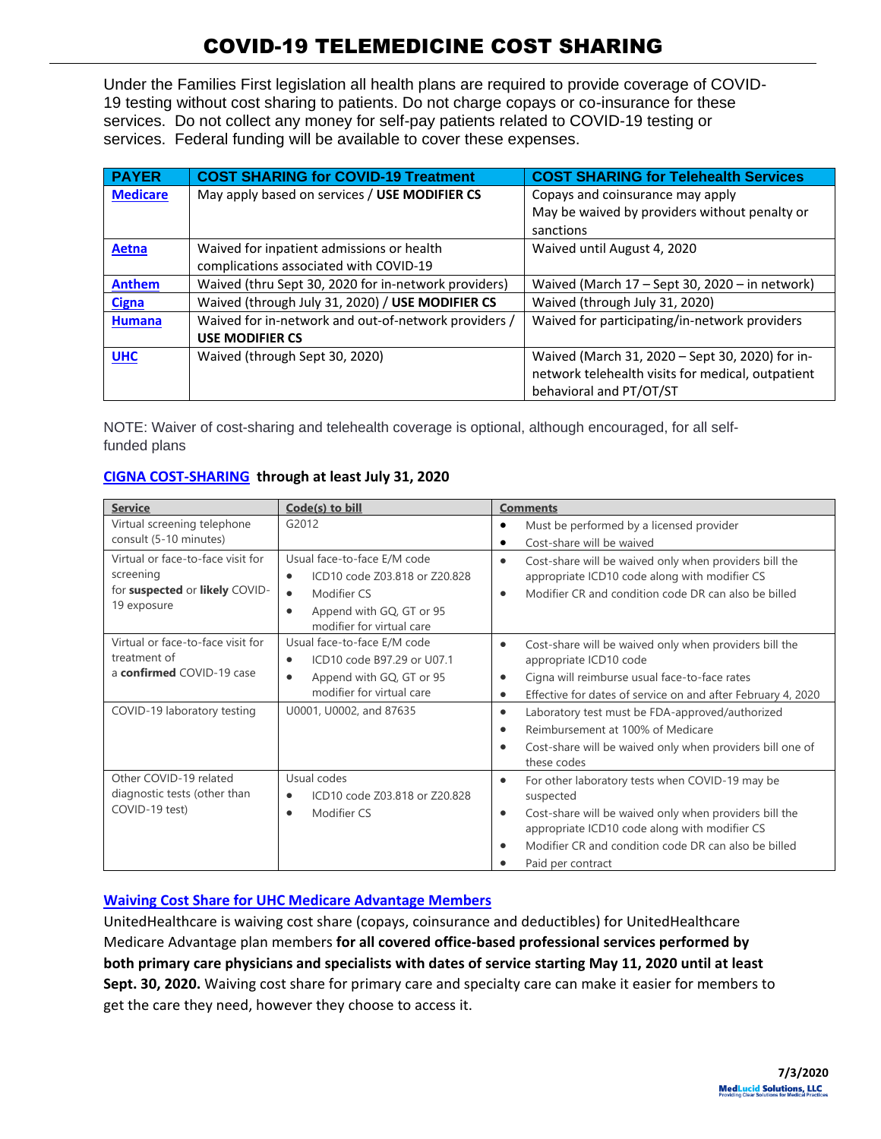Under the Families First legislation all health plans are required to provide coverage of COVID-19 testing without cost sharing to patients. Do not charge copays or co-insurance for these services. Do not collect any money for self-pay patients related to COVID-19 testing or services. Federal funding will be available to cover these expenses.

| <b>PAYER</b>    | <b>COST SHARING for COVID-19 Treatment</b>           | <b>COST SHARING for Telehealth Services</b>       |
|-----------------|------------------------------------------------------|---------------------------------------------------|
| <b>Medicare</b> | May apply based on services / USE MODIFIER CS        | Copays and coinsurance may apply                  |
|                 |                                                      | May be waived by providers without penalty or     |
|                 |                                                      | sanctions                                         |
| Aetna           | Waived for inpatient admissions or health            | Waived until August 4, 2020                       |
|                 | complications associated with COVID-19               |                                                   |
| <b>Anthem</b>   | Waived (thru Sept 30, 2020 for in-network providers) | Waived (March 17 - Sept 30, 2020 - in network)    |
| <b>Cigna</b>    | Waived (through July 31, 2020) / USE MODIFIER CS     | Waived (through July 31, 2020)                    |
| <b>Humana</b>   | Waived for in-network and out-of-network providers / | Waived for participating/in-network providers     |
|                 | <b>USE MODIFIER CS</b>                               |                                                   |
| <b>UHC</b>      | Waived (through Sept 30, 2020)                       | Waived (March 31, 2020 - Sept 30, 2020) for in-   |
|                 |                                                      | network telehealth visits for medical, outpatient |
|                 |                                                      | behavioral and PT/OT/ST                           |

NOTE: Waiver of cost-sharing and telehealth coverage is optional, although encouraged, for all selffunded plans

| CIGNA COST-SHARING through at least July 31, 2020 |
|---------------------------------------------------|
|---------------------------------------------------|

| <b>Service</b>                                                                                                | Code(s) to bill                                                                                                                                                         | <b>Comments</b>                                                                                                                                                                                                                                                                             |
|---------------------------------------------------------------------------------------------------------------|-------------------------------------------------------------------------------------------------------------------------------------------------------------------------|---------------------------------------------------------------------------------------------------------------------------------------------------------------------------------------------------------------------------------------------------------------------------------------------|
| Virtual screening telephone<br>consult (5-10 minutes)                                                         | G2012                                                                                                                                                                   | Must be performed by a licensed provider<br>Cost-share will be waived                                                                                                                                                                                                                       |
| Virtual or face-to-face visit for<br>screening<br>for suspected or likely COVID-<br>19 exposure               | Usual face-to-face E/M code<br>ICD10 code Z03.818 or Z20.828<br>$\bullet$<br>Modifier CS<br>$\bullet$<br>Append with GQ, GT or 95<br>٠<br>modifier for virtual care     | Cost-share will be waived only when providers bill the<br>$\bullet$<br>appropriate ICD10 code along with modifier CS<br>Modifier CR and condition code DR can also be billed<br>$\bullet$                                                                                                   |
| Virtual or face-to-face visit for<br>treatment of<br>a confirmed COVID-19 case<br>COVID-19 laboratory testing | Usual face-to-face E/M code<br>ICD10 code B97.29 or U07.1<br>$\bullet$<br>Append with GQ, GT or 95<br>$\bullet$<br>modifier for virtual care<br>U0001, U0002, and 87635 | Cost-share will be waived only when providers bill the<br>٠<br>appropriate ICD10 code<br>Cigna will reimburse usual face-to-face rates<br>Effective for dates of service on and after February 4, 2020<br>$\bullet$<br>Laboratory test must be FDA-approved/authorized<br>$\bullet$         |
|                                                                                                               |                                                                                                                                                                         | Reimbursement at 100% of Medicare<br>Cost-share will be waived only when providers bill one of<br>these codes                                                                                                                                                                               |
| Other COVID-19 related<br>diagnostic tests (other than<br>COVID-19 test)                                      | Usual codes<br>ICD10 code Z03.818 or Z20.828<br>Modifier CS<br>$\bullet$                                                                                                | For other laboratory tests when COVID-19 may be<br>$\bullet$<br>suspected<br>Cost-share will be waived only when providers bill the<br>$\bullet$<br>appropriate ICD10 code along with modifier CS<br>Modifier CR and condition code DR can also be billed<br>$\bullet$<br>Paid per contract |

### **[Waiving Cost Share for UHC Medicare Advantage Members](https://www.uhcprovider.com/en/resource-library/news/Novel-Coronavirus-COVID-19/pa-covid19-updates.html?cid=em-providernews-covid-19nationalemail5-may20)**

UnitedHealthcare is waiving cost share (copays, coinsurance and deductibles) for UnitedHealthcare Medicare Advantage plan members **for all covered office-based professional services performed by both primary care physicians and specialists with dates of service starting May 11, 2020 until at least Sept. 30, 2020.** Waiving cost share for primary care and specialty care can make it easier for members to get the care they need, however they choose to access it.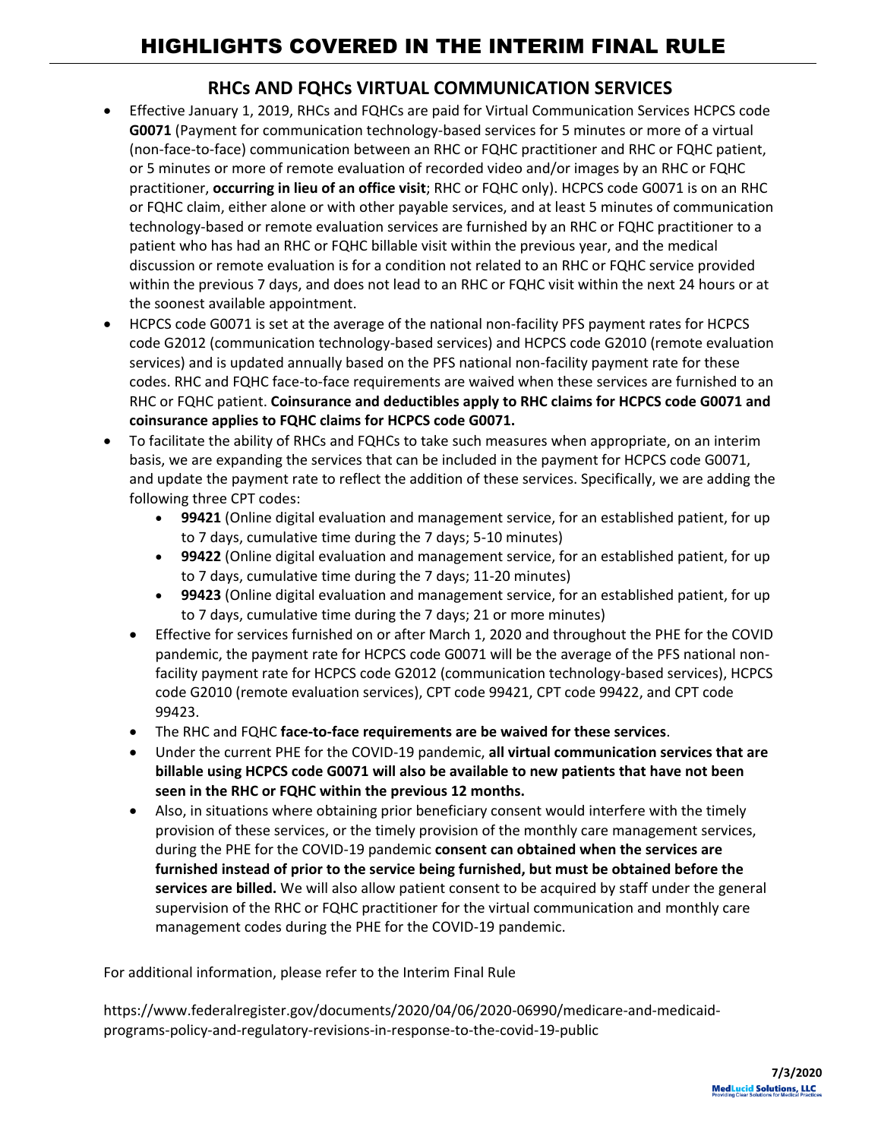## **RHCs AND FQHCs VIRTUAL COMMUNICATION SERVICES**

- Effective January 1, 2019, RHCs and FQHCs are paid for Virtual Communication Services HCPCS code **G0071** (Payment for communication technology-based services for 5 minutes or more of a virtual (non-face-to-face) communication between an RHC or FQHC practitioner and RHC or FQHC patient, or 5 minutes or more of remote evaluation of recorded video and/or images by an RHC or FQHC practitioner, **occurring in lieu of an office visit**; RHC or FQHC only). HCPCS code G0071 is on an RHC or FQHC claim, either alone or with other payable services, and at least 5 minutes of communication technology-based or remote evaluation services are furnished by an RHC or FQHC practitioner to a patient who has had an RHC or FQHC billable visit within the previous year, and the medical discussion or remote evaluation is for a condition not related to an RHC or FQHC service provided within the previous 7 days, and does not lead to an RHC or FQHC visit within the next 24 hours or at the soonest available appointment.
- HCPCS code G0071 is set at the average of the national non-facility PFS payment rates for HCPCS code G2012 (communication technology-based services) and HCPCS code G2010 (remote evaluation services) and is updated annually based on the PFS national non-facility payment rate for these codes. RHC and FQHC face-to-face requirements are waived when these services are furnished to an RHC or FQHC patient. **Coinsurance and deductibles apply to RHC claims for HCPCS code G0071 and coinsurance applies to FQHC claims for HCPCS code G0071.**
- To facilitate the ability of RHCs and FQHCs to take such measures when appropriate, on an interim basis, we are expanding the services that can be included in the payment for HCPCS code G0071, and update the payment rate to reflect the addition of these services. Specifically, we are adding the following three CPT codes:
	- **99421** (Online digital evaluation and management service, for an established patient, for up to 7 days, cumulative time during the 7 days; 5-10 minutes)
	- **99422** (Online digital evaluation and management service, for an established patient, for up to 7 days, cumulative time during the 7 days; 11-20 minutes)
	- **99423** (Online digital evaluation and management service, for an established patient, for up to 7 days, cumulative time during the 7 days; 21 or more minutes)
	- Effective for services furnished on or after March 1, 2020 and throughout the PHE for the COVID pandemic, the payment rate for HCPCS code G0071 will be the average of the PFS national nonfacility payment rate for HCPCS code G2012 (communication technology-based services), HCPCS code G2010 (remote evaluation services), CPT code 99421, CPT code 99422, and CPT code 99423.
	- The RHC and FQHC **face-to-face requirements are be waived for these services**.
	- Under the current PHE for the COVID-19 pandemic, **all virtual communication services that are billable using HCPCS code G0071 will also be available to new patients that have not been seen in the RHC or FQHC within the previous 12 months.**
	- Also, in situations where obtaining prior beneficiary consent would interfere with the timely provision of these services, or the timely provision of the monthly care management services, during the PHE for the COVID-19 pandemic **consent can obtained when the services are furnished instead of prior to the service being furnished, but must be obtained before the services are billed.** We will also allow patient consent to be acquired by staff under the general supervision of the RHC or FQHC practitioner for the virtual communication and monthly care management codes during the PHE for the COVID-19 pandemic.

For additional information, please refer to the Interim Final Rule

[https://www.federalregister.gov/documents/2020/04/06/2020-06990/medicare-and-medicaid](https://www.federalregister.gov/documents/2020/04/06/2020-06990/medicare-and-medicaid-programs-policy-and-regulatory-revisions-in-response-to-the-covid-19-public)[programs-policy-and-regulatory-revisions-in-response-to-the-covid-19-public](https://www.federalregister.gov/documents/2020/04/06/2020-06990/medicare-and-medicaid-programs-policy-and-regulatory-revisions-in-response-to-the-covid-19-public)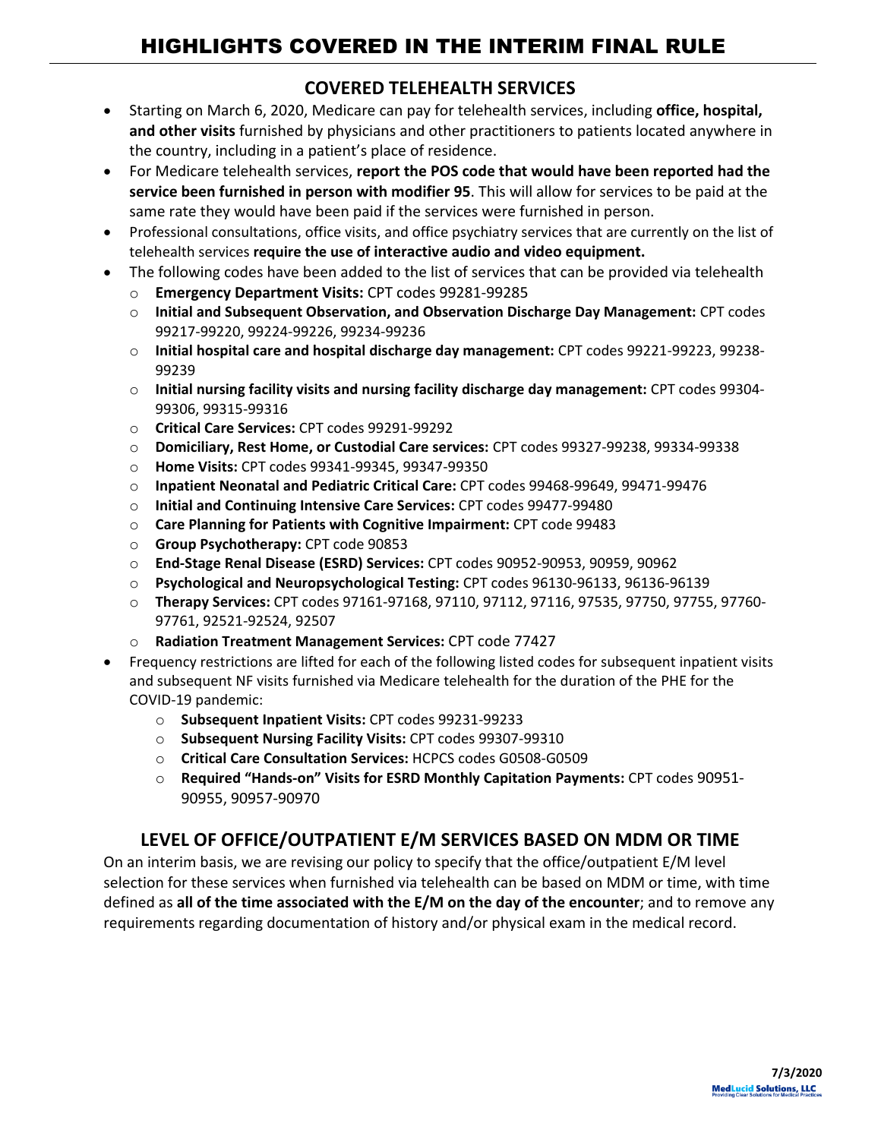# HIGHLIGHTS COVERED IN THE INTERIM FINAL RULE

## **COVERED TELEHEALTH SERVICES**

- Starting on March 6, 2020, Medicare can pay for telehealth services, including **office, hospital, and other visits** furnished by physicians and other practitioners to patients located anywhere in the country, including in a patient's place of residence.
- For Medicare telehealth services, **report the POS code that would have been reported had the service been furnished in person with modifier 95**. This will allow for services to be paid at the same rate they would have been paid if the services were furnished in person.
- Professional consultations, office visits, and office psychiatry services that are currently on the list of telehealth services **require the use of interactive audio and video equipment.**
- The following codes have been added to the list of services that can be provided via telehealth
	- o **Emergency Department Visits:** CPT codes 99281-99285
	- o **Initial and Subsequent Observation, and Observation Discharge Day Management:** CPT codes 99217-99220, 99224-99226, 99234-99236
	- o **Initial hospital care and hospital discharge day management:** CPT codes 99221-99223, 99238- 99239
	- o **Initial nursing facility visits and nursing facility discharge day management:** CPT codes 99304- 99306, 99315-99316
	- o **Critical Care Services:** CPT codes 99291-99292
	- o **Domiciliary, Rest Home, or Custodial Care services:** CPT codes 99327-99238, 99334-99338
	- o **Home Visits:** CPT codes 99341-99345, 99347-99350
	- o **Inpatient Neonatal and Pediatric Critical Care:** CPT codes 99468-99649, 99471-99476
	- o **Initial and Continuing Intensive Care Services:** CPT codes 99477-99480
	- o **Care Planning for Patients with Cognitive Impairment:** CPT code 99483
	- o **Group Psychotherapy:** CPT code 90853
	- o **End-Stage Renal Disease (ESRD) Services:** CPT codes 90952-90953, 90959, 90962
	- o **Psychological and Neuropsychological Testing:** CPT codes 96130-96133, 96136-96139
	- o **Therapy Services:** CPT codes 97161-97168, 97110, 97112, 97116, 97535, 97750, 97755, 97760- 97761, 92521-92524, 92507
	- o **Radiation Treatment Management Services:** CPT code 77427
- Frequency restrictions are lifted for each of the following listed codes for subsequent inpatient visits and subsequent NF visits furnished via Medicare telehealth for the duration of the PHE for the COVID-19 pandemic:
	- o **Subsequent Inpatient Visits:** CPT codes 99231-99233
	- o **Subsequent Nursing Facility Visits:** CPT codes 99307-99310
	- o **Critical Care Consultation Services:** HCPCS codes G0508-G0509
	- o **Required "Hands-on" Visits for ESRD Monthly Capitation Payments:** CPT codes 90951- 90955, 90957-90970

## **LEVEL OF OFFICE/OUTPATIENT E/M SERVICES BASED ON MDM OR TIME**

On an interim basis, we are revising our policy to specify that the office/outpatient E/M level selection for these services when furnished via telehealth can be based on MDM or time, with time defined as **all of the time associated with the E/M on the day of the encounter**; and to remove any requirements regarding documentation of history and/or physical exam in the medical record.